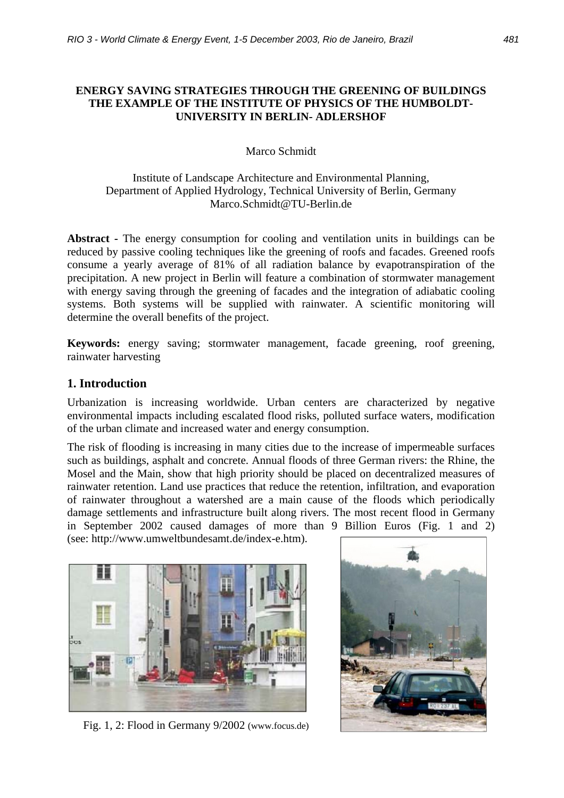## **ENERGY SAVING STRATEGIES THROUGH THE GREENING OF BUILDINGS THE EXAMPLE OF THE INSTITUTE OF PHYSICS OF THE HUMBOLDT-UNIVERSITY IN BERLIN- ADLERSHOF**

## Marco Schmidt

## Institute of Landscape Architecture and Environmental Planning, Department of Applied Hydrology, Technical University of Berlin, Germany Marco.Schmidt@TU-Berlin.de

**Abstract -** The energy consumption for cooling and ventilation units in buildings can be reduced by passive cooling techniques like the greening of roofs and facades. Greened roofs consume a yearly average of 81% of all radiation balance by evapotranspiration of the precipitation. A new project in Berlin will feature a combination of stormwater management with energy saving through the greening of facades and the integration of adiabatic cooling systems. Both systems will be supplied with rainwater. A scientific monitoring will determine the overall benefits of the project.

**Keywords:** energy saving; stormwater management, facade greening, roof greening, rainwater harvesting

## **1. Introduction**

Urbanization is increasing worldwide. Urban centers are characterized by negative environmental impacts including escalated flood risks, polluted surface waters, modification of the urban climate and increased water and energy consumption.

The risk of flooding is increasing in many cities due to the increase of impermeable surfaces such as buildings, asphalt and concrete. Annual floods of three German rivers: the Rhine, the Mosel and the Main, show that high priority should be placed on decentralized measures of rainwater retention. Land use practices that reduce the retention, infiltration, and evaporation of rainwater throughout a watershed are a main cause of the floods which periodically damage settlements and infrastructure built along rivers. The most recent flood in Germany in September 2002 caused damages of more than 9 Billion Euros (Fig. 1 and 2)

(see: http://www.umweltbundesamt.de/index-e.htm).



Fig. 1, 2: Flood in Germany 9/2002 (www.focus.de)

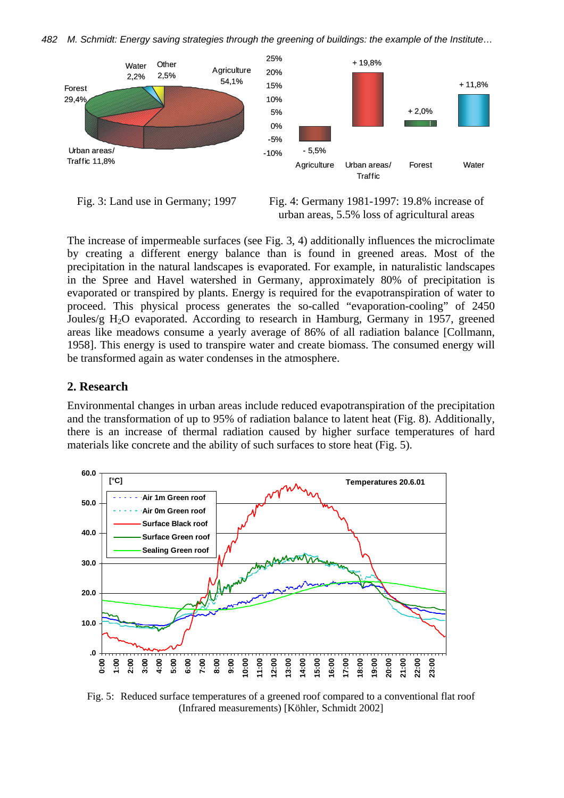*482 M. Schmidt: Energy saving strategies through the greening of buildings: the example of the Institute…* 



Fig. 3: Land use in Germany; 1997



The increase of impermeable surfaces (see Fig. 3, 4) additionally influences the microclimate by creating a different energy balance than is found in greened areas. Most of the precipitation in the natural landscapes is evaporated. For example, in naturalistic landscapes in the Spree and Havel watershed in Germany, approximately 80% of precipitation is evaporated or transpired by plants. Energy is required for the evapotranspiration of water to proceed. This physical process generates the so-called "evaporation-cooling" of 2450 Joules/g  $H_2O$  evaporated. According to research in Hamburg, Germany in 1957, greened areas like meadows consume a yearly average of 86% of all radiation balance [Collmann, 1958]. This energy is used to transpire water and create biomass. The consumed energy will be transformed again as water condenses in the atmosphere.

#### **2. Research**

Environmental changes in urban areas include reduced evapotranspiration of the precipitation and the transformation of up to 95% of radiation balance to latent heat (Fig. 8). Additionally, there is an increase of thermal radiation caused by higher surface temperatures of hard materials like concrete and the ability of such surfaces to store heat (Fig. 5).



Fig. 5: Reduced surface temperatures of a greened roof compared to a conventional flat roof (Infrared measurements) [Köhler, Schmidt 2002]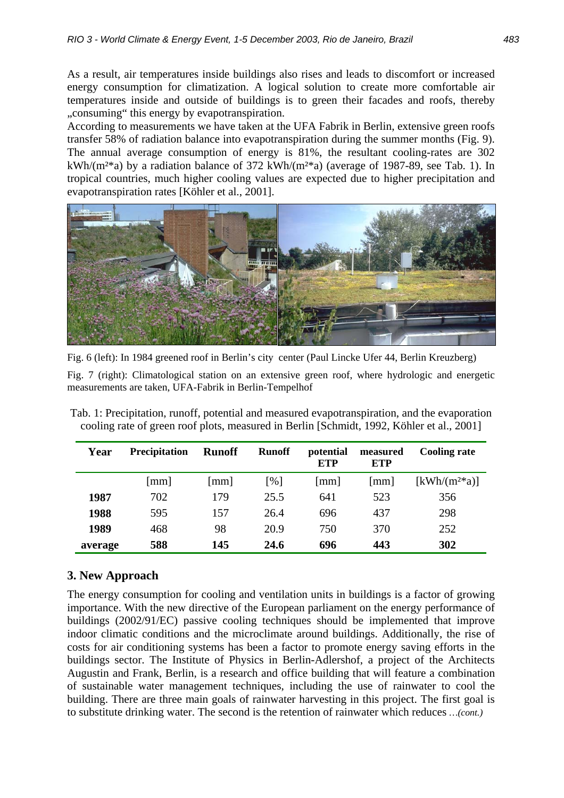As a result, air temperatures inside buildings also rises and leads to discomfort or increased energy consumption for climatization. A logical solution to create more comfortable air temperatures inside and outside of buildings is to green their facades and roofs, thereby "consuming" this energy by evapotranspiration.

According to measurements we have taken at the UFA Fabrik in Berlin, extensive green roofs transfer 58% of radiation balance into evapotranspiration during the summer months (Fig. 9). The annual average consumption of energy is 81%, the resultant cooling-rates are 302 kWh/( $m^{2*}a$ ) by a radiation balance of 372 kWh/( $m^{2*}a$ ) (average of 1987-89, see Tab. 1). In tropical countries, much higher cooling values are expected due to higher precipitation and evapotranspiration rates [Köhler et al., 2001].



Fig. 6 (left): In 1984 greened roof in Berlin's city center (Paul Lincke Ufer 44, Berlin Kreuzberg)

Fig. 7 (right): Climatological station on an extensive green roof, where hydrologic and energetic measurements are taken, UFA-Fabrik in Berlin-Tempelhof

Tab. 1: Precipitation, runoff, potential and measured evapotranspiration, and the evaporation cooling rate of green roof plots, measured in Berlin [Schmidt, 1992, Köhler et al., 2001]

| Year    | <b>Precipitation</b> | <b>Runoff</b>          | <b>Runoff</b> | potential<br><b>ETP</b> | measured<br><b>ETP</b> | <b>Cooling rate</b>                   |
|---------|----------------------|------------------------|---------------|-------------------------|------------------------|---------------------------------------|
|         | [mm]                 | $\lfloor$ mm $\rfloor$ | [%]           | $\lceil$ mm $\rceil$    | mm                     | $\left[\mathrm{kWh/(m^{2*}a)}\right]$ |
| 1987    | 702                  | 179                    | 25.5          | 641                     | 523                    | 356                                   |
| 1988    | 595                  | 157                    | 26.4          | 696                     | 437                    | 298                                   |
| 1989    | 468                  | 98                     | 20.9          | 750                     | 370                    | 252                                   |
| average | 588                  | 145                    | 24.6          | 696                     | 443                    | 302                                   |

## **3. New Approach**

The energy consumption for cooling and ventilation units in buildings is a factor of growing importance. With the new directive of the European parliament on the energy performance of buildings (2002/91/EC) passive cooling techniques should be implemented that improve indoor climatic conditions and the microclimate around buildings. Additionally, the rise of costs for air conditioning systems has been a factor to promote energy saving efforts in the buildings sector. The Institute of Physics in Berlin-Adlershof, a project of the Architects Augustin and Frank, Berlin, is a research and office building that will feature a combination of sustainable water management techniques, including the use of rainwater to cool the building. There are three main goals of rainwater harvesting in this project. The first goal is to substitute drinking water. The second is the retention of rainwater which reduces *…(cont.)*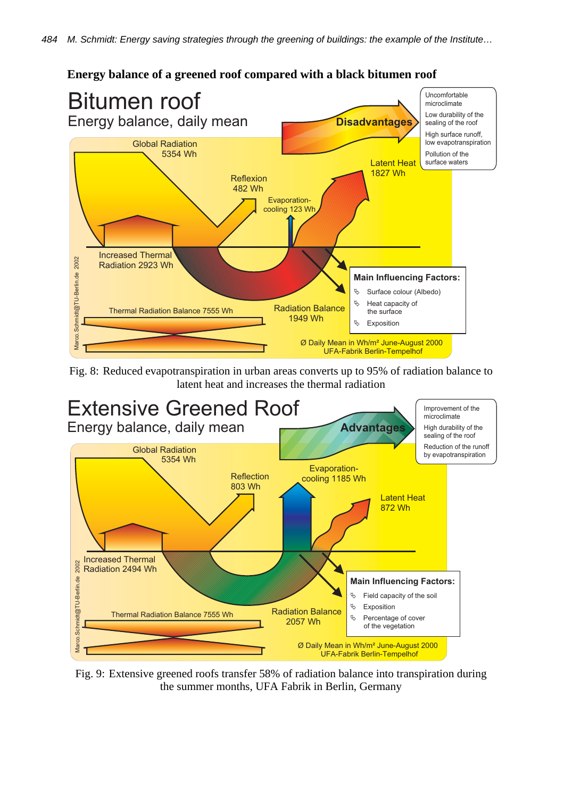

# **Energy balance of a greened roof compared with a black bitumen roof**

Fig. 8: Reduced evapotranspiration in urban areas converts up to 95% of radiation balance to latent heat and increases the thermal radiation



Fig. 9: Extensive greened roofs transfer 58% of radiation balance into transpiration during the summer months, UFA Fabrik in Berlin, Germany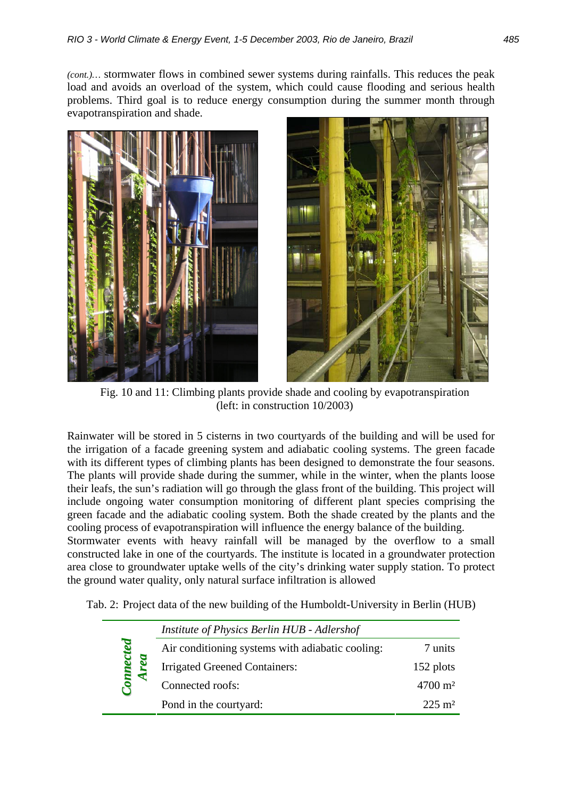*(cont.)…* stormwater flows in combined sewer systems during rainfalls. This reduces the peak load and avoids an overload of the system, which could cause flooding and serious health problems. Third goal is to reduce energy consumption during the summer month through evapotranspiration and shade.





Fig. 10 and 11: Climbing plants provide shade and cooling by evapotranspiration (left: in construction 10/2003)

Rainwater will be stored in 5 cisterns in two courtyards of the building and will be used for the irrigation of a facade greening system and adiabatic cooling systems. The green facade with its different types of climbing plants has been designed to demonstrate the four seasons. The plants will provide shade during the summer, while in the winter, when the plants loose their leafs, the sun's radiation will go through the glass front of the building. This project will include ongoing water consumption monitoring of different plant species comprising the green facade and the adiabatic cooling system. Both the shade created by the plants and the cooling process of evapotranspiration will influence the energy balance of the building.

Stormwater events with heavy rainfall will be managed by the overflow to a small constructed lake in one of the courtyards. The institute is located in a groundwater protection area close to groundwater uptake wells of the city's drinking water supply station. To protect the ground water quality, only natural surface infiltration is allowed

| Tab. 2: Project data of the new building of the Humboldt-University in Berlin (HUB) |  |  |  |  |  |  |
|-------------------------------------------------------------------------------------|--|--|--|--|--|--|
|-------------------------------------------------------------------------------------|--|--|--|--|--|--|

|                          | Institute of Physics Berlin HUB - Adlershof      |                    |  |  |  |
|--------------------------|--------------------------------------------------|--------------------|--|--|--|
| cted<br>$\sum_{i=1}^{n}$ | Air conditioning systems with adiabatic cooling: | 7 units            |  |  |  |
|                          | Irrigated Greened Containers:                    | 152 plots          |  |  |  |
|                          | Connected roofs:                                 | $4700 \text{ m}^2$ |  |  |  |
|                          | Pond in the courtyard:                           | $225 \text{ m}^2$  |  |  |  |